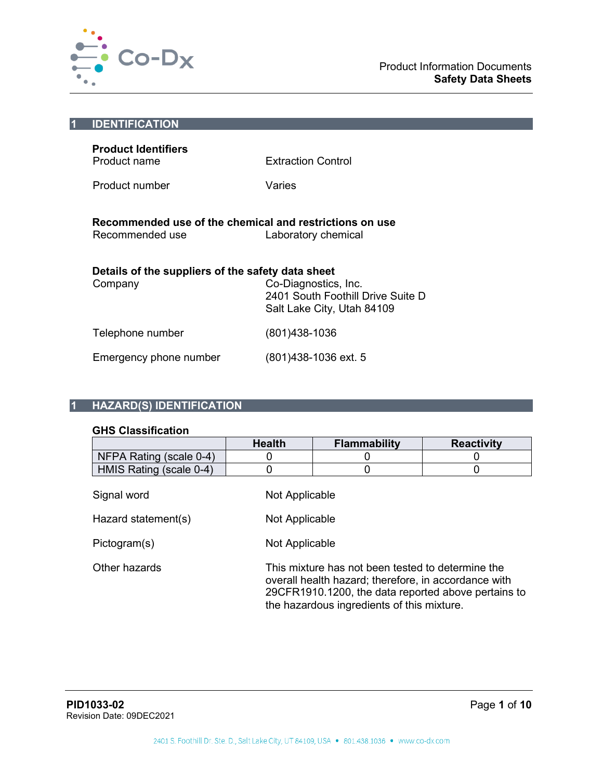

| <b>IDENTIFICATION</b>                                                      |                                                                                         |
|----------------------------------------------------------------------------|-----------------------------------------------------------------------------------------|
| <b>Product Identifiers</b><br>Product name                                 | <b>Extraction Control</b>                                                               |
| Product number                                                             | Varies                                                                                  |
| Recommended use of the chemical and restrictions on use<br>Recommended use | Laboratory chemical                                                                     |
| Details of the suppliers of the safety data sheet                          |                                                                                         |
| Company                                                                    | Co-Diagnostics, Inc.<br>2401 South Foothill Drive Suite D<br>Salt Lake City, Utah 84109 |
| Telephone number                                                           | (801)438-1036                                                                           |
| Emergency phone number                                                     | (801)438-1036 ext. 5                                                                    |
|                                                                            |                                                                                         |

# **1 HAZARD(S) IDENTIFICATION**

# **GHS Classification**

|                         | <b>Health</b>  | <b>Flammability</b>                                                                                                                                                                                            | <b>Reactivity</b> |  |
|-------------------------|----------------|----------------------------------------------------------------------------------------------------------------------------------------------------------------------------------------------------------------|-------------------|--|
| NFPA Rating (scale 0-4) | 0              |                                                                                                                                                                                                                |                   |  |
| HMIS Rating (scale 0-4) | 0              |                                                                                                                                                                                                                |                   |  |
| Signal word             | Not Applicable |                                                                                                                                                                                                                |                   |  |
| Hazard statement(s)     | Not Applicable |                                                                                                                                                                                                                |                   |  |
| Pictogram(s)            | Not Applicable |                                                                                                                                                                                                                |                   |  |
| Other hazards           |                | This mixture has not been tested to determine the<br>overall health hazard; therefore, in accordance with<br>29CFR1910.1200, the data reported above pertains to<br>the hazardous ingredients of this mixture. |                   |  |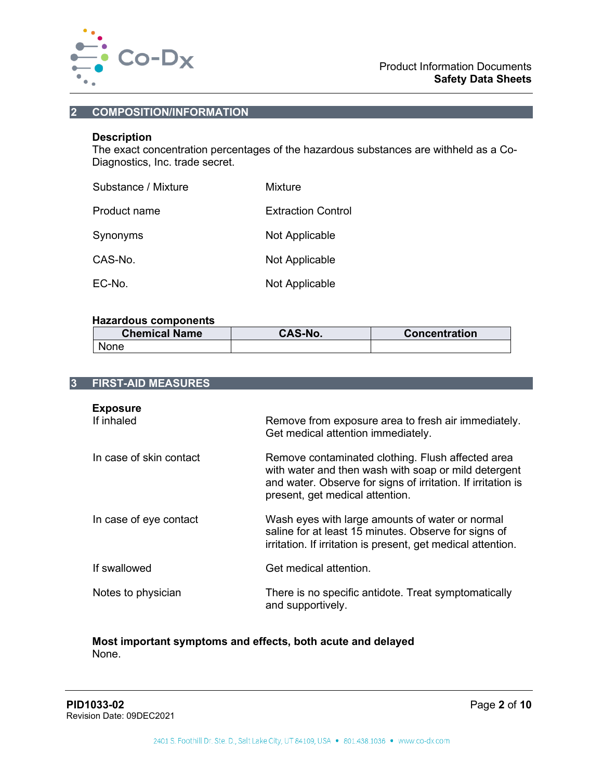

#### **2 COMPOSITION/INFORMATION**

#### **Description**

The exact concentration percentages of the hazardous substances are withheld as a Co-Diagnostics, Inc. trade secret.

| Substance / Mixture | Mixture                   |
|---------------------|---------------------------|
| Product name        | <b>Extraction Control</b> |
| Synonyms            | Not Applicable            |
| CAS-No.             | Not Applicable            |
| $EC-NO$             | Not Applicable            |

## **Hazardous components**

| <b>Chemical Name</b> | CAS-No. | <b>Concentration</b> |
|----------------------|---------|----------------------|
| None                 |         |                      |

| <b>FIRST-AID MEASURES</b>     |                                                                                                                                                                                                              |
|-------------------------------|--------------------------------------------------------------------------------------------------------------------------------------------------------------------------------------------------------------|
| <b>Exposure</b><br>If inhaled | Remove from exposure area to fresh air immediately.<br>Get medical attention immediately.                                                                                                                    |
| In case of skin contact       | Remove contaminated clothing. Flush affected area<br>with water and then wash with soap or mild detergent<br>and water. Observe for signs of irritation. If irritation is<br>present, get medical attention. |
| In case of eye contact        | Wash eyes with large amounts of water or normal<br>saline for at least 15 minutes. Observe for signs of<br>irritation. If irritation is present, get medical attention.                                      |
| If swallowed                  | Get medical attention.                                                                                                                                                                                       |
| Notes to physician            | There is no specific antidote. Treat symptomatically<br>and supportively.                                                                                                                                    |

#### **Most important symptoms and effects, both acute and delayed** None.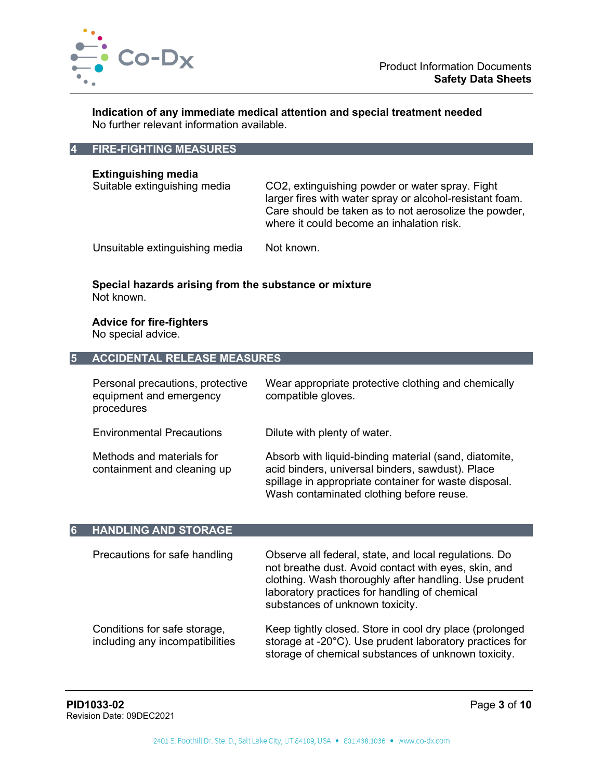

**Indication of any immediate medical attention and special treatment needed** No further relevant information available.

### **4 FIRE-FIGHTING MEASURES**

**Extinguishing media**

CO2, extinguishing powder or water spray. Fight larger fires with water spray or alcohol-resistant foam. Care should be taken as to not aerosolize the powder, where it could become an inhalation risk.

Unsuitable extinguishing media Not known.

# **Special hazards arising from the substance or mixture** Not known.

**Advice for fire-fighters** No special advice.

#### **5 ACCIDENTAL RELEASE MEASURES**

| Personal precautions, protective<br>equipment and emergency<br>procedures | Wear appropriate protective clothing and chemically<br>compatible gloves.                                                                                                                                      |
|---------------------------------------------------------------------------|----------------------------------------------------------------------------------------------------------------------------------------------------------------------------------------------------------------|
| <b>Environmental Precautions</b>                                          | Dilute with plenty of water.                                                                                                                                                                                   |
| Methods and materials for<br>containment and cleaning up                  | Absorb with liquid-binding material (sand, diatomite,<br>acid binders, universal binders, sawdust). Place<br>spillage in appropriate container for waste disposal.<br>Wash contaminated clothing before reuse. |

#### **6 HANDLING AND STORAGE**

including any incompatibilities

| Precautions for safe handling | Observe all federal, state, and local regulations. Do<br>not breathe dust. Avoid contact with eyes, skin, and<br>clothing. Wash thoroughly after handling. Use prudent<br>laboratory practices for handling of chemical<br>substances of unknown toxicity. |
|-------------------------------|------------------------------------------------------------------------------------------------------------------------------------------------------------------------------------------------------------------------------------------------------------|
| Conditions for safe storage,  | Keep tightly closed. Store in cool dry place (prolonged                                                                                                                                                                                                    |

storage at -20°C). Use prudent laboratory practices for storage of chemical substances of unknown toxicity.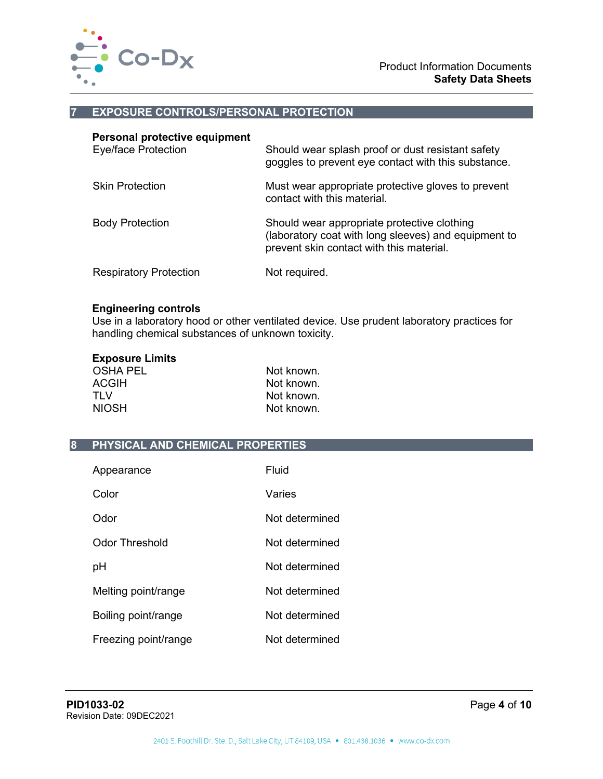

#### **7 EXPOSURE CONTROLS/PERSONAL PROTECTION**

| Personal protective equipment<br>Eye/face Protection | Should wear splash proof or dust resistant safety<br>goggles to prevent eye contact with this substance.                                        |
|------------------------------------------------------|-------------------------------------------------------------------------------------------------------------------------------------------------|
| <b>Skin Protection</b>                               | Must wear appropriate protective gloves to prevent<br>contact with this material                                                                |
| <b>Body Protection</b>                               | Should wear appropriate protective clothing<br>(laboratory coat with long sleeves) and equipment to<br>prevent skin contact with this material. |
| <b>Respiratory Protection</b>                        | Not required.                                                                                                                                   |

#### **Engineering controls**

Use in a laboratory hood or other ventilated device. Use prudent laboratory practices for handling chemical substances of unknown toxicity.

# **Exposure Limits**

| Not known. |
|------------|
| Not known. |
| Not known. |
| Not known. |
|            |

#### **8 PHYSICAL AND CHEMICAL PROPERTIES**

| Appearance           | Fluid          |
|----------------------|----------------|
| Color                | Varies         |
| Odor                 | Not determined |
| Odor Threshold       | Not determined |
| рH                   | Not determined |
| Melting point/range  | Not determined |
| Boiling point/range  | Not determined |
| Freezing point/range | Not determined |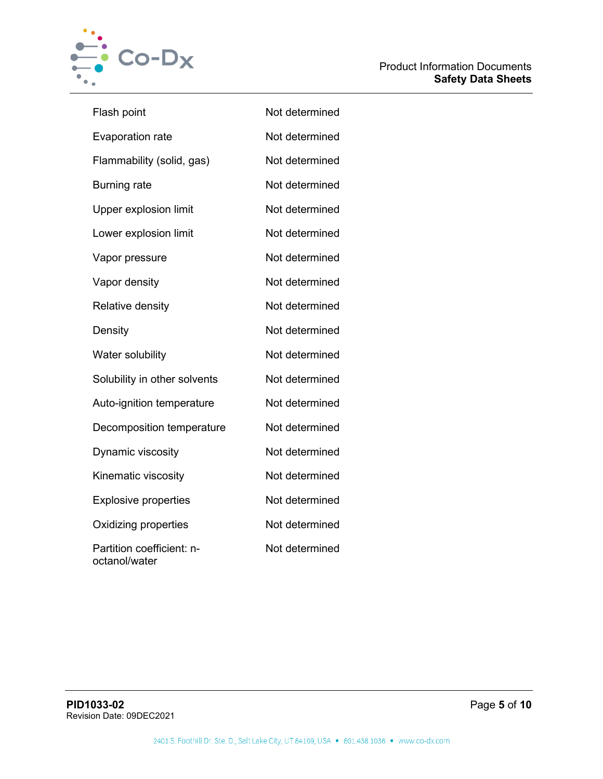

| Flash point                                | Not determined |
|--------------------------------------------|----------------|
| <b>Evaporation rate</b>                    | Not determined |
| Flammability (solid, gas)                  | Not determined |
| <b>Burning rate</b>                        | Not determined |
| <b>Upper explosion limit</b>               | Not determined |
| Lower explosion limit                      | Not determined |
| Vapor pressure                             | Not determined |
| Vapor density                              | Not determined |
| Relative density                           | Not determined |
| Density                                    | Not determined |
| Water solubility                           | Not determined |
| Solubility in other solvents               | Not determined |
| Auto-ignition temperature                  | Not determined |
| Decomposition temperature                  | Not determined |
| Dynamic viscosity                          | Not determined |
| Kinematic viscosity                        | Not determined |
| <b>Explosive properties</b>                | Not determined |
| Oxidizing properties                       | Not determined |
| Partition coefficient: n-<br>octanol/water | Not determined |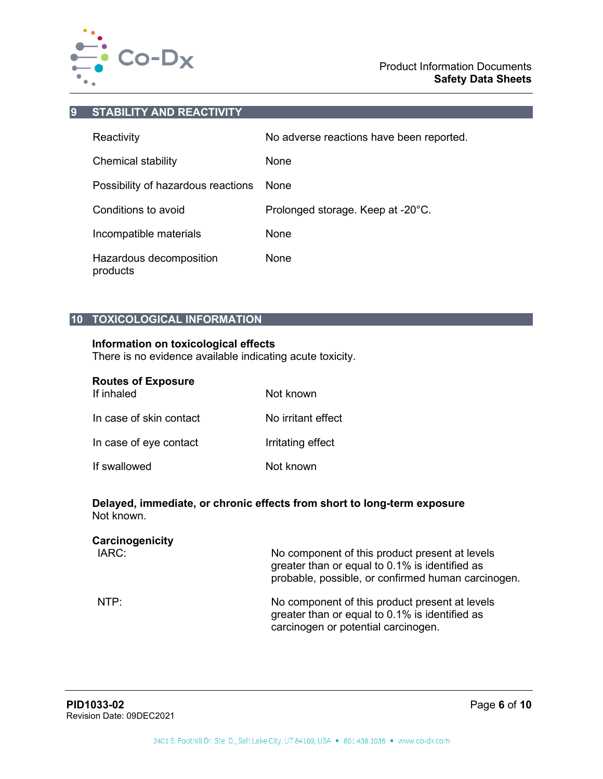

#### **9 STABILITY AND REACTIVITY**

| Reactivity                          | No adverse reactions have been reported. |
|-------------------------------------|------------------------------------------|
| Chemical stability                  | None                                     |
| Possibility of hazardous reactions  | <b>None</b>                              |
| Conditions to avoid                 | Prolonged storage. Keep at -20°C.        |
| Incompatible materials              | None                                     |
| Hazardous decomposition<br>products | None                                     |

# **10 TOXICOLOGICAL INFORMATION**

# **Information on toxicological effects**

There is no evidence available indicating acute toxicity.

| <b>Routes of Exposure</b> |  |  |  |
|---------------------------|--|--|--|
|---------------------------|--|--|--|

| If inhaled              | Not known          |
|-------------------------|--------------------|
| In case of skin contact | No irritant effect |
| In case of eye contact  | Irritating effect  |
| If swallowed            | Not known          |

### **Delayed, immediate, or chronic effects from short to long-term exposure** Not known.

| Carcinogenicity<br>IARC: | No component of this product present at levels<br>greater than or equal to 0.1% is identified as<br>probable, possible, or confirmed human carcinogen. |
|--------------------------|--------------------------------------------------------------------------------------------------------------------------------------------------------|
| NTP:                     | No component of this product present at levels<br>greater than or equal to 0.1% is identified as<br>carcinogen or potential carcinogen.                |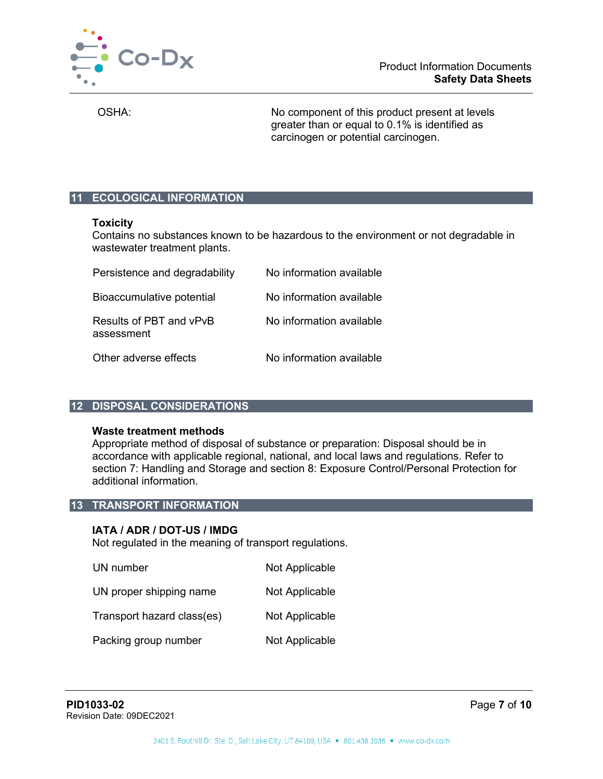

OSHA: No component of this product present at levels greater than or equal to 0.1% is identified as carcinogen or potential carcinogen.

# **11 ECOLOGICAL INFORMATION**

#### **Toxicity**

Contains no substances known to be hazardous to the environment or not degradable in wastewater treatment plants.

| Persistence and degradability         | No information available |
|---------------------------------------|--------------------------|
| Bioaccumulative potential             | No information available |
| Results of PBT and vPvB<br>assessment | No information available |
| Other adverse effects                 | No information available |

#### **12 DISPOSAL CONSIDERATIONS**

#### **Waste treatment methods**

Appropriate method of disposal of substance or preparation: Disposal should be in accordance with applicable regional, national, and local laws and regulations. Refer to section 7: Handling and Storage and section 8: Exposure Control/Personal Protection for additional information.

# **13 TRANSPORT INFORMATION**

#### **IATA / ADR / DOT-US / IMDG**

Not regulated in the meaning of transport regulations.

| UN number                  | Not Applicable |
|----------------------------|----------------|
| UN proper shipping name    | Not Applicable |
| Transport hazard class(es) | Not Applicable |
| Packing group number       | Not Applicable |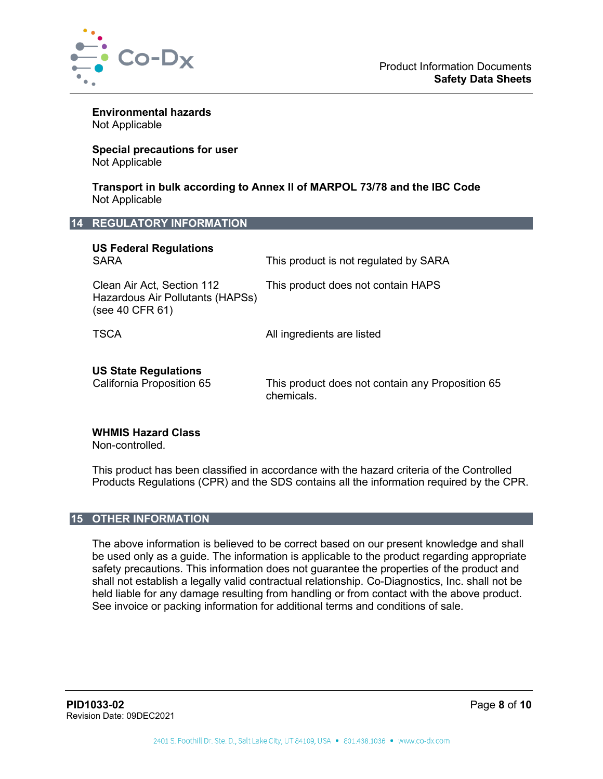

**Environmental hazards** Not Applicable

**Special precautions for user** Not Applicable

**Transport in bulk according to Annex II of MARPOL 73/78 and the IBC Code** Not Applicable

## **14 REGULATORY INFORMATION**

| <b>US Federal Regulations</b><br><b>SARA</b>                                      | This product is not regulated by SARA                          |
|-----------------------------------------------------------------------------------|----------------------------------------------------------------|
| Clean Air Act, Section 112<br>Hazardous Air Pollutants (HAPSs)<br>(see 40 CFR 61) | This product does not contain HAPS                             |
| <b>TSCA</b>                                                                       | All ingredients are listed                                     |
| <b>US State Regulations</b><br>California Proposition 65                          | This product does not contain any Proposition 65<br>chemicals. |

#### **WHMIS Hazard Class**

Non-controlled.

This product has been classified in accordance with the hazard criteria of the Controlled Products Regulations (CPR) and the SDS contains all the information required by the CPR.

### **15 OTHER INFORMATION**

The above information is believed to be correct based on our present knowledge and shall be used only as a guide. The information is applicable to the product regarding appropriate safety precautions. This information does not guarantee the properties of the product and shall not establish a legally valid contractual relationship. Co-Diagnostics, Inc. shall not be held liable for any damage resulting from handling or from contact with the above product. See invoice or packing information for additional terms and conditions of sale.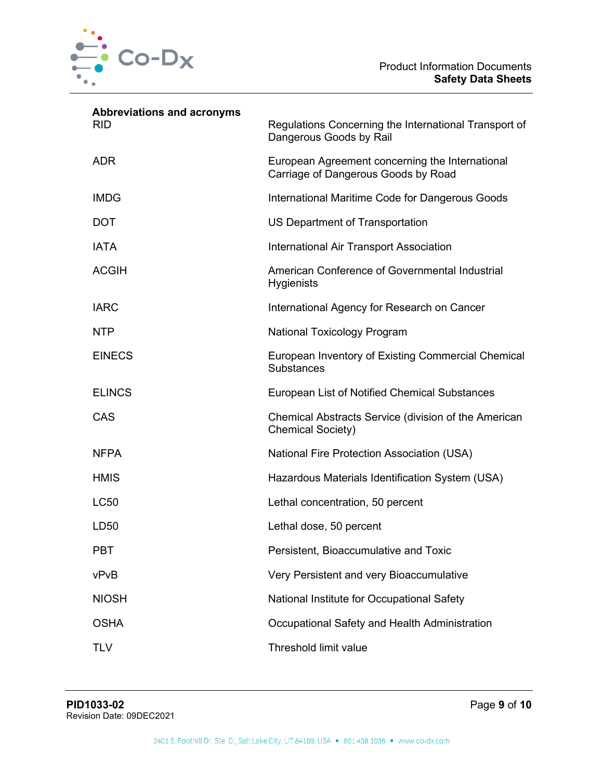

| <b>Abbreviations and acronyms</b><br><b>RID</b> | Regulations Concerning the International Transport of<br>Dangerous Goods by Rail       |
|-------------------------------------------------|----------------------------------------------------------------------------------------|
| <b>ADR</b>                                      | European Agreement concerning the International<br>Carriage of Dangerous Goods by Road |
| <b>IMDG</b>                                     | International Maritime Code for Dangerous Goods                                        |
| <b>DOT</b>                                      | US Department of Transportation                                                        |
| <b>IATA</b>                                     | <b>International Air Transport Association</b>                                         |
| <b>ACGIH</b>                                    | American Conference of Governmental Industrial<br><b>Hygienists</b>                    |
| <b>IARC</b>                                     | International Agency for Research on Cancer                                            |
| <b>NTP</b>                                      | <b>National Toxicology Program</b>                                                     |
| <b>EINECS</b>                                   | European Inventory of Existing Commercial Chemical<br>Substances                       |
| <b>ELINCS</b>                                   | European List of Notified Chemical Substances                                          |
| CAS                                             | Chemical Abstracts Service (division of the American<br><b>Chemical Society)</b>       |
| <b>NFPA</b>                                     | <b>National Fire Protection Association (USA)</b>                                      |
| <b>HMIS</b>                                     | Hazardous Materials Identification System (USA)                                        |
| <b>LC50</b>                                     | Lethal concentration, 50 percent                                                       |
| LD50                                            | Lethal dose, 50 percent                                                                |
| <b>PBT</b>                                      | Persistent, Bioaccumulative and Toxic                                                  |
| vPvB                                            | Very Persistent and very Bioaccumulative                                               |
| <b>NIOSH</b>                                    | National Institute for Occupational Safety                                             |
| <b>OSHA</b>                                     | Occupational Safety and Health Administration                                          |
| <b>TLV</b>                                      | Threshold limit value                                                                  |